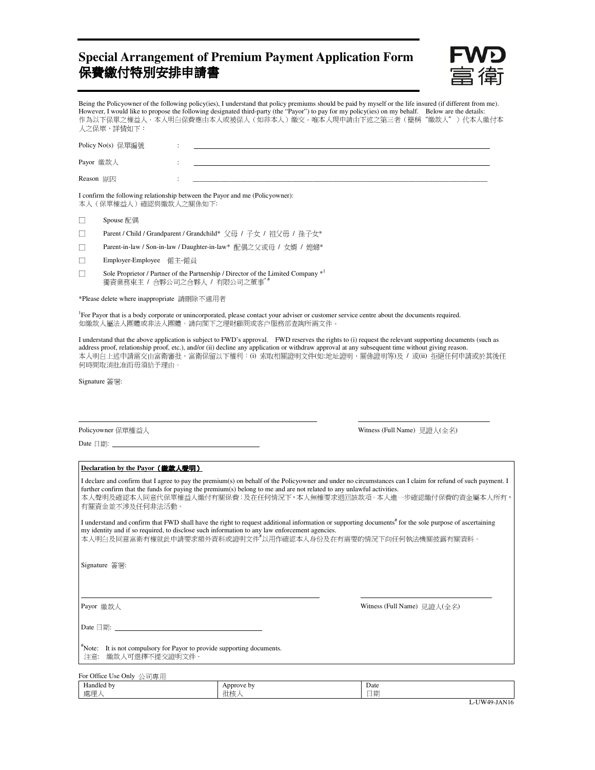# **Special Arrangement of Premium Payment Application Form** 保費繳付特別安排申請書



Being the Policyowner of the following policy(ies), I understand that policy premiums should be paid by myself or the life insured (if different from me). However, I would like to propose the following designated third-party (the "Payor") to pay for my policy(ies) on my behalf. Below are the details: 作為以下保單之權益人,本人明白保費應由本人或被保人(如非本人)繳交。唯本人現申請由下述之第三者(簡稱"繳款人")代本人繳付本 人之保單,詳情如下:

| Policy No(s) 保單編號                                                            |  |  |  |  |
|------------------------------------------------------------------------------|--|--|--|--|
| Payor 繳款人                                                                    |  |  |  |  |
| Reason 原因                                                                    |  |  |  |  |
| I confirm the following relationship between the Payor and me (Policyowner): |  |  |  |  |

本人(保單權益人)確認與繳款人之關係如下:

| Spouse 配偶 |
|-----------|
|-----------|

- □ Parent / Child / Grandparent / Grandchild\* 父母 / 子女 / 祖父毋 / 孫子女\*
- □ Parent-in-law / Son-in-law / Daughter-in-law\* 配偶之父或母 / 女婿 / 媳婦\*
- □ Employer-Employee 僱主-僱員
- □ Sole Proprietor / Partner of the Partnership / Director of the Limited Company  $*$ <sup>1</sup> 獨資業務東主 / 合夥公司之合夥人 / 有限公司之董事\*

\*Please delete where inappropriate 請刪除不適用者

<sup>1</sup>For Payor that is a body corporate or unincorporated, please contact your adviser or customer service centre about the documents required. 如繳款人屬法人團體或非法人團體,請向閣下之理財顧問或客户服務部查詢所需文件。

I understand that the above application is subject to FWD's approval. FWD reserves the rights to (i) request the relevant supporting documents (such as address proof, relationship proof, etc.), and/or (ii) decline any application or withdraw approval at any subsequent time without giving reason. 本人明白上述申請需交由富衛審批。富衛保留以下權利:(i) 索取相關證明文件(如:地址證明、關係證明等)及 / 或(ii) 拒絕任何申請或於其後任 何時間取消批准而毋須給予理由。

l,

Signature 簽署:

Policyowner 保單權益人 **Withess (Full Name)** 見證人(全名)

Date 日期:

### **Declaration by the Payor** (繳款人聲明)

I declare and confirm that I agree to pay the premium(s) on behalf of the Policyowner and under no circumstances can I claim for refund of such payment. I further confirm that the funds for paying the premium(s) belong to me and are not related to any unlawful activities. 本人聲明及確認本人同意代保單權益人繳付有關保費;及在任何情況下,本人無權要求退回該款項。本人進一步確認繳付保費的資金屬本人所有, 有關資金並不涉及任何非法活動。 I understand and confirm that FWD shall have the right to request additional information or supporting documents<sup>#</sup> for the sole purpose of ascertaining my identity and if so required, to disclose such information to any law enforcement agencies. 本人明白及同意富衛有權就此申請要求額外資料或證明文件 以用作確認本人身份及在有需要的情況下向任何執法機關披露有關資料。 Signature 簽署:  $\overline{a}$ Payor 繳款人 Witness (Full Name) 見證人(全名) Date 日期: #Note: It is not compulsory for Payor to provide supporting documents. 注意: 繳款人可選擇不提交證明文件

| 公司專用<br>For Office Use Only |                           |              |
|-----------------------------|---------------------------|--------------|
| Handled by<br>處理            | Approve by<br>5.6.1<br>批核 | Date<br>日期   |
|                             |                           | L-UW49-JAN16 |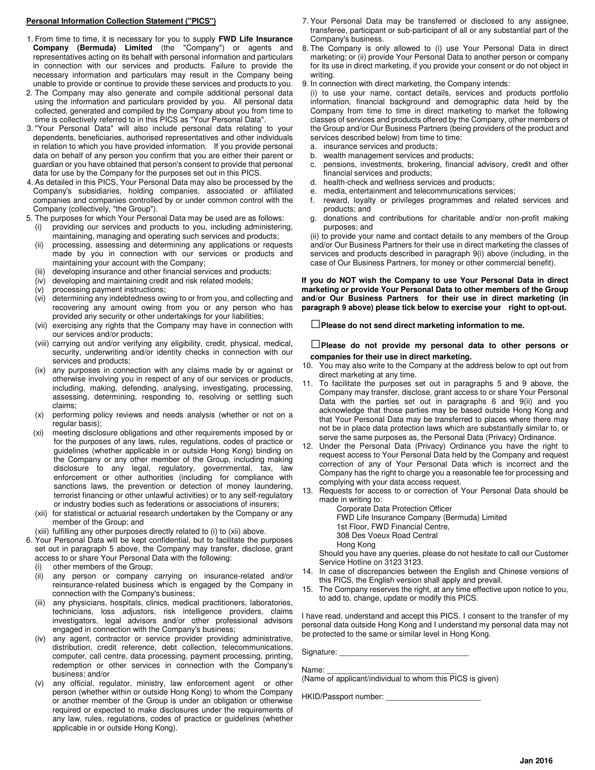#### **Personal Information Collection Statement ("PICS")**

- 1. From time to time, it is necessary for you to supply **FWD Life Insurance Company (Bermuda) Limited** (the "Company") or agents and representatives acting on its behalf with personal information and particulars in connection with our services and products. Failure to provide the necessary information and particulars may result in the Company being unable to provide or continue to provide these services and products to you.
- 2. The Company may also generate and compile additional personal data using the information and particulars provided by you. All personal data collected, generated and compiled by the Company about you from time to time is collectively referred to in this PICS as "Your Personal Data".
- 3. "Your Personal Data" will also include personal data relating to your dependents, beneficiaries, authorised representatives and other individuals in relation to which you have provided information. If you provide personal data on behalf of any person you confirm that you are either their parent or guardian or you have obtained that person's consent to provide that personal data for use by the Company for the purposes set out in this PICS.
- 4. As detailed in this PICS, Your Personal Data may also be processed by the Company's subsidiaries, holding companies, associated or affiliated companies and companies controlled by or under common control with the Company (collectively, "the Group").
- 5. The purposes for which Your Personal Data may be used are as follows:
	- (i) providing our services and products to you, including administering, maintaining, managing and operating such services and products;
	- (ii) processing, assessing and determining any applications or requests made by you in connection with our services or products and maintaining your account with the Company;
	- developing insurance and other financial services and products;
	- (iv) developing and maintaining credit and risk related models;
	- (v) processing payment instructions;
	- (vi) determining any indebtedness owing to or from you, and collecting and recovering any amount owing from you or any person who has provided any security or other undertakings for your liabilities;
	- (vii) exercising any rights that the Company may have in connection with our services and/or products;
	- (viii) carrying out and/or verifying any eligibility, credit, physical, medical, security, underwriting and/or identity checks in connection with our services and products;
	- (ix) any purposes in connection with any claims made by or against or otherwise involving you in respect of any of our services or products, including, making, defending, analysing, investigating, processing, assessing, determining, responding to, resolving or settling such claims;
	- (x) performing policy reviews and needs analysis (whether or not on a regular basis);
	- (xi) meeting disclosure obligations and other requirements imposed by or for the purposes of any laws, rules, regulations, codes of practice or guidelines (whether applicable in or outside Hong Kong) binding on the Company or any other member of the Group, including making disclosure to any legal, regulatory, governmental, tax, law enforcement or other authorities (including for compliance with sanctions laws, the prevention or detection of money laundering, terrorist financing or other unlawful activities) or to any self-regulatory or industry bodies such as federations or associations of insurers;
	- (xii) for statistical or actuarial research undertaken by the Company or any member of the Group; and
	- (xiii) fulfilling any other purposes directly related to (i) to (xii) above.
- 6. Your Personal Data will be kept confidential, but to facilitate the purposes set out in paragraph 5 above, the Company may transfer, disclose, grant access to or share Your Personal Data with the following:
	- other members of the Group;
	- (ii) any person or company carrying on insurance-related and/or reinsurance-related business which is engaged by the Company in connection with the Company's business;
	- (iii) any physicians, hospitals, clinics, medical practitioners, laboratories, technicians, loss adjustors, risk intelligence providers, claims investigators, legal advisors and/or other professional advisors engaged in connection with the Company's business;
	- (iv) any agent, contractor or service provider providing administrative, distribution, credit reference, debt collection, telecommunications, computer, call centre, data processing, payment processing, printing, redemption or other services in connection with the Company's business; and/or
	- (v) any official, regulator, ministry, law enforcement agent or other person (whether within or outside Hong Kong) to whom the Company or another member of the Group is under an obligation or otherwise required or expected to make disclosures under the requirements of any law, rules, regulations, codes of practice or guidelines (whether applicable in or outside Hong Kong).
- 7. Your Personal Data may be transferred or disclosed to any assignee, transferee, participant or sub-participant of all or any substantial part of the Company's business.
- 8. The Company is only allowed to (i) use Your Personal Data in direct marketing; or (ii) provide Your Personal Data to another person or company for its use in direct marketing, if you provide your consent or do not object in writing.
- 9. In connection with direct marketing, the Company intends:

(i) to use your name, contact details, services and products portfolio information, financial background and demographic data held by the Company from time to time in direct marketing to market the following classes of services and products offered by the Company, other members of the Group and/or Our Business Partners (being providers of the product and services described below) from time to time:

- a. insurance services and products;
- b. wealth management services and products;
- c. pensions, investments, brokering, financial advisory, credit and other financial services and products;
- d. health-check and wellness services and products;
- e. media, entertainment and telecommunications services;
- f. reward, loyalty or privileges programmes and related services and products; and
- g. donations and contributions for charitable and/or non-profit making purposes; and

(ii) to provide your name and contact details to any members of the Group and/or Our Business Partners for their use in direct marketing the classes of services and products described in paragraph 9(i) above (including, in the case of Our Business Partners, for money or other commercial benefit).

**If you do NOT wish the Company to use Your Personal Data in direct marketing or provide Your Personal Data to other members of the Group and/or Our Business Partners for their use in direct marketing (in paragraph 9 above) please tick below to exercise your right to opt-out.** 

□**Please do not send direct marketing information to me.** 

□**Please do not provide my personal data to other persons or companies for their use in direct marketing.** 

- 10. You may also write to the Company at the address below to opt out from direct marketing at any time.
- 11. To facilitate the purposes set out in paragraphs 5 and 9 above, the Company may transfer, disclose, grant access to or share Your Personal Data with the parties set out in paragraphs 6 and 9(ii) and you acknowledge that those parties may be based outside Hong Kong and that Your Personal Data may be transferred to places where there may not be in place data protection laws which are substantially similar to, or serve the same purposes as, the Personal Data (Privacy) Ordinance.
- 12. Under the Personal Data (Privacy) Ordinance you have the right to request access to Your Personal Data held by the Company and request correction of any of Your Personal Data which is incorrect and the Company has the right to charge you a reasonable fee for processing and complying with your data access request.
- 13. Requests for access to or correction of Your Personal Data should be made in writing to:

Corporate Data Protection Officer FWD Life Insurance Company (Bermuda) Limited 1st Floor, FWD Financial Centre, 308 Des Voeux Road Central Hong Kong

Should you have any queries, please do not hesitate to call our Customer Service Hotline on 3123 3123.

- 14. In case of discrepancies between the English and Chinese versions of this PICS, the English version shall apply and prevail.
- 15. The Company reserves the right, at any time effective upon notice to you, to add to, change, update or modify this PICS.

I have read, understand and accept this PICS. I consent to the transfer of my personal data outside Hong Kong and I understand my personal data may not be protected to the same or similar level in Hong Kong.

Signature:

Name:

(Name of applicant/individual to whom this PICS is given)

HKID/Passport number: